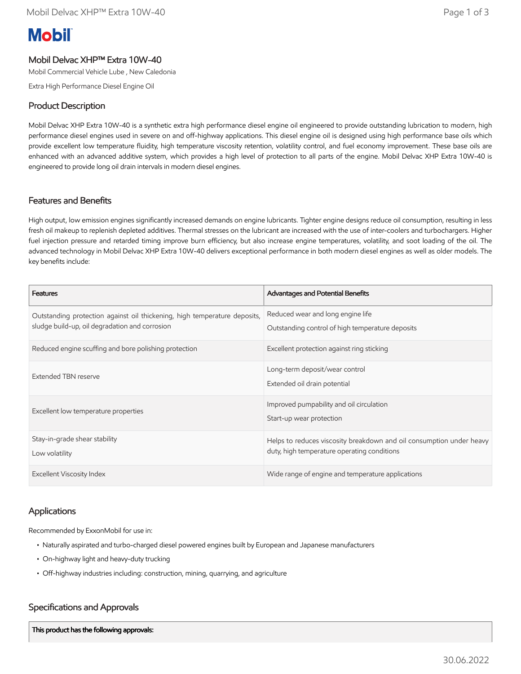# **Mobil**

#### Mobil Delvac XHP™ Extra 10W-40

Mobil Commercial Vehicle Lube , New Caledonia

Extra High Performance Diesel Engine Oil

#### Product Description

Mobil Delvac XHP Extra 10W-40 is a synthetic extra high performance diesel engine oil engineered to provide outstanding lubrication to modern, high performance diesel engines used in severe on and off-highway applications. This diesel engine oil is designed using high performance base oils which provide excellent low temperature fluidity, high temperature viscosity retention, volatility control, and fuel economy improvement. These base oils are enhanced with an advanced additive system, which provides a high level of protection to all parts of the engine. Mobil Delvac XHP Extra 10W-40 is engineered to provide long oil drain intervals in modern diesel engines.

#### Features and Benefits

High output, low emission engines significantly increased demands on engine lubricants. Tighter engine designs reduce oil consumption, resulting in less fresh oil makeup to replenish depleted additives. Thermal stresses on the lubricant are increased with the use of inter-coolers and turbochargers. Higher fuel injection pressure and retarded timing improve burn efficiency, but also increase engine temperatures, volatility, and soot loading of the oil. The advanced technology in Mobil Delvac XHP Extra 10W-40 delivers exceptional performance in both modern diesel engines as well as older models. The key benefits include:

| <b>Features</b>                                                                                                             | <b>Advantages and Potential Benefits</b>                                                                            |
|-----------------------------------------------------------------------------------------------------------------------------|---------------------------------------------------------------------------------------------------------------------|
| Outstanding protection against oil thickening, high temperature deposits,<br>sludge build-up, oil degradation and corrosion | Reduced wear and long engine life<br>Outstanding control of high temperature deposits                               |
| Reduced engine scuffing and bore polishing protection                                                                       | Excellent protection against ring sticking                                                                          |
| Extended TBN reserve                                                                                                        | Long-term deposit/wear control<br>Extended oil drain potential                                                      |
| Excellent low temperature properties                                                                                        | Improved pumpability and oil circulation<br>Start-up wear protection                                                |
| Stay-in-grade shear stability<br>Low volatility                                                                             | Helps to reduces viscosity breakdown and oil consumption under heavy<br>duty, high temperature operating conditions |
| <b>Excellent Viscosity Index</b>                                                                                            | Wide range of engine and temperature applications                                                                   |

#### Applications

Recommended by ExxonMobil for use in:

- Naturally aspirated and turbo-charged diesel powered engines built by European and Japanese manufacturers
- On-highway light and heavy-duty trucking
- Off-highway industries including: construction, mining, quarrying, and agriculture

#### Specifications and Approvals

This product has the following approvals: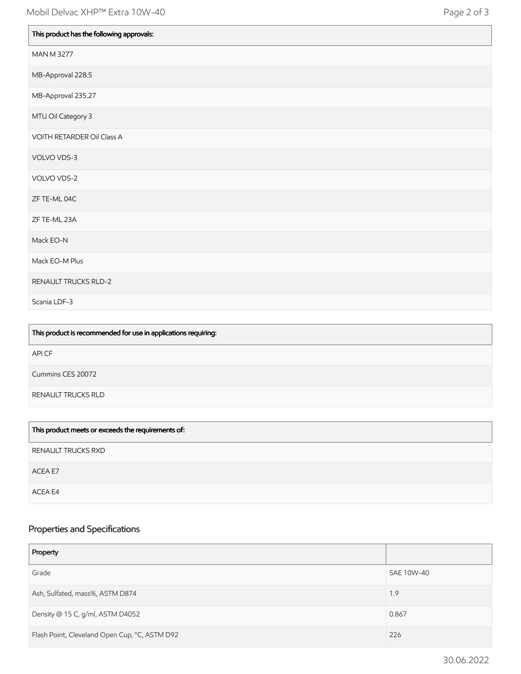| This product has the following approvals: |
|-------------------------------------------|
| <b>MAN M 3277</b>                         |
| MB-Approval 228.5                         |
| MB-Approval 235.27                        |
| MTU Oil Category 3                        |
| VOITH RETARDER Oil Class A                |
| VOLVO VDS-3                               |
| VOLVO VDS-2                               |
| ZF TE-ML 04C                              |
| ZF TE-ML 23A                              |
| Mack EO-N                                 |
| Mack EO-M Plus                            |
| RENAULT TRUCKS RLD-2                      |
| Scania LDF-3                              |

| This product is recommended for use in applications requiring: |
|----------------------------------------------------------------|
| API CF                                                         |
| Cummins CES 20072                                              |
| RENAULT TRUCKS RLD                                             |
|                                                                |

| This product meets or exceeds the requirements of: |
|----------------------------------------------------|
| RENAULT TRUCKS RXD                                 |
| ACEA E7                                            |
| ACEA E4                                            |

## Properties and Specifications

| Property                                      |            |
|-----------------------------------------------|------------|
| Grade                                         | SAE 10W-40 |
| Ash, Sulfated, mass%, ASTM D874               | 1.9        |
| Density @ 15 C, g/ml, ASTM D4052              | 0.867      |
| Flash Point, Cleveland Open Cup, °C, ASTM D92 | 226        |